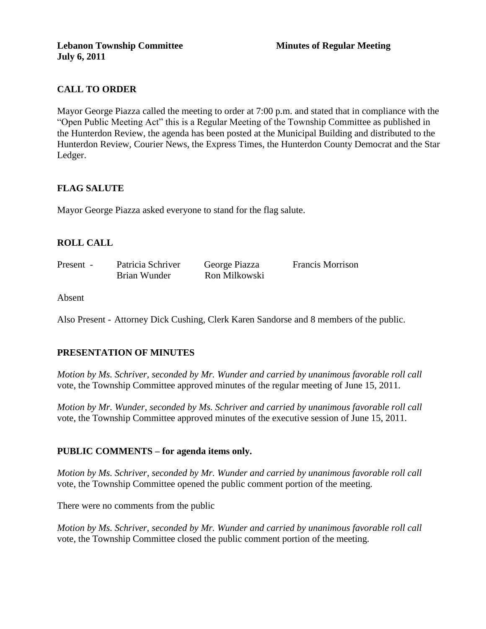# **CALL TO ORDER**

Mayor George Piazza called the meeting to order at 7:00 p.m. and stated that in compliance with the "Open Public Meeting Act" this is a Regular Meeting of the Township Committee as published in the Hunterdon Review, the agenda has been posted at the Municipal Building and distributed to the Hunterdon Review, Courier News, the Express Times, the Hunterdon County Democrat and the Star Ledger.

# **FLAG SALUTE**

Mayor George Piazza asked everyone to stand for the flag salute.

# **ROLL CALL**

| Present - | Patricia Schriver | George Piazza | <b>Francis Morrison</b> |
|-----------|-------------------|---------------|-------------------------|
|           | Brian Wunder      | Ron Milkowski |                         |

Absent

Also Present - Attorney Dick Cushing, Clerk Karen Sandorse and 8 members of the public.

# **PRESENTATION OF MINUTES**

*Motion by Ms. Schriver, seconded by Mr. Wunder and carried by unanimous favorable roll call*  vote, the Township Committee approved minutes of the regular meeting of June 15, 2011.

*Motion by Mr. Wunder, seconded by Ms. Schriver and carried by unanimous favorable roll call*  vote, the Township Committee approved minutes of the executive session of June 15, 2011.

#### **PUBLIC COMMENTS – for agenda items only.**

*Motion by Ms. Schriver, seconded by Mr. Wunder and carried by unanimous favorable roll call*  vote, the Township Committee opened the public comment portion of the meeting.

There were no comments from the public

*Motion by Ms. Schriver, seconded by Mr. Wunder and carried by unanimous favorable roll call*  vote, the Township Committee closed the public comment portion of the meeting.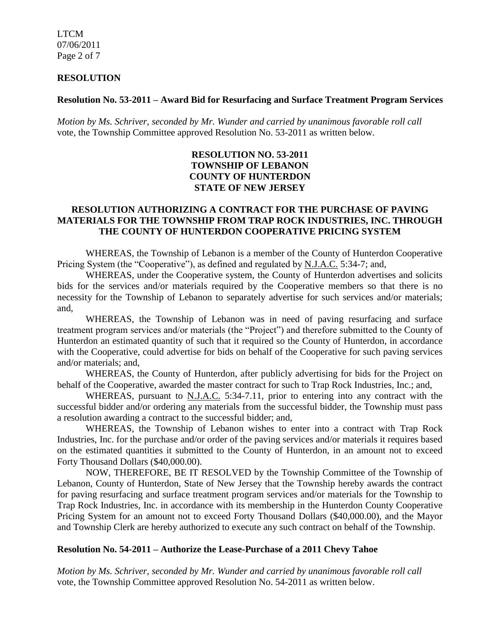LTCM 07/06/2011 Page 2 of 7

#### **RESOLUTION**

#### **Resolution No. 53-2011 – Award Bid for Resurfacing and Surface Treatment Program Services**

*Motion by Ms. Schriver, seconded by Mr. Wunder and carried by unanimous favorable roll call*  vote, the Township Committee approved Resolution No. 53-2011 as written below.

# **RESOLUTION NO. 53-2011 TOWNSHIP OF LEBANON COUNTY OF HUNTERDON STATE OF NEW JERSEY**

#### **RESOLUTION AUTHORIZING A CONTRACT FOR THE PURCHASE OF PAVING MATERIALS FOR THE TOWNSHIP FROM TRAP ROCK INDUSTRIES, INC. THROUGH THE COUNTY OF HUNTERDON COOPERATIVE PRICING SYSTEM**

WHEREAS, the Township of Lebanon is a member of the County of Hunterdon Cooperative Pricing System (the "Cooperative"), as defined and regulated by N.J.A.C. 5:34-7; and,

WHEREAS, under the Cooperative system, the County of Hunterdon advertises and solicits bids for the services and/or materials required by the Cooperative members so that there is no necessity for the Township of Lebanon to separately advertise for such services and/or materials; and,

WHEREAS, the Township of Lebanon was in need of paving resurfacing and surface treatment program services and/or materials (the "Project") and therefore submitted to the County of Hunterdon an estimated quantity of such that it required so the County of Hunterdon, in accordance with the Cooperative, could advertise for bids on behalf of the Cooperative for such paving services and/or materials; and,

WHEREAS, the County of Hunterdon, after publicly advertising for bids for the Project on behalf of the Cooperative, awarded the master contract for such to Trap Rock Industries, Inc.; and,

WHEREAS, pursuant to N.J.A.C. 5:34-7.11, prior to entering into any contract with the successful bidder and/or ordering any materials from the successful bidder, the Township must pass a resolution awarding a contract to the successful bidder; and,

WHEREAS, the Township of Lebanon wishes to enter into a contract with Trap Rock Industries, Inc. for the purchase and/or order of the paving services and/or materials it requires based on the estimated quantities it submitted to the County of Hunterdon, in an amount not to exceed Forty Thousand Dollars (\$40,000.00).

NOW, THEREFORE, BE IT RESOLVED by the Township Committee of the Township of Lebanon, County of Hunterdon, State of New Jersey that the Township hereby awards the contract for paving resurfacing and surface treatment program services and/or materials for the Township to Trap Rock Industries, Inc. in accordance with its membership in the Hunterdon County Cooperative Pricing System for an amount not to exceed Forty Thousand Dollars (\$40,000.00), and the Mayor and Township Clerk are hereby authorized to execute any such contract on behalf of the Township.

#### **Resolution No. 54-2011 – Authorize the Lease-Purchase of a 2011 Chevy Tahoe**

*Motion by Ms. Schriver, seconded by Mr. Wunder and carried by unanimous favorable roll call*  vote, the Township Committee approved Resolution No. 54-2011 as written below.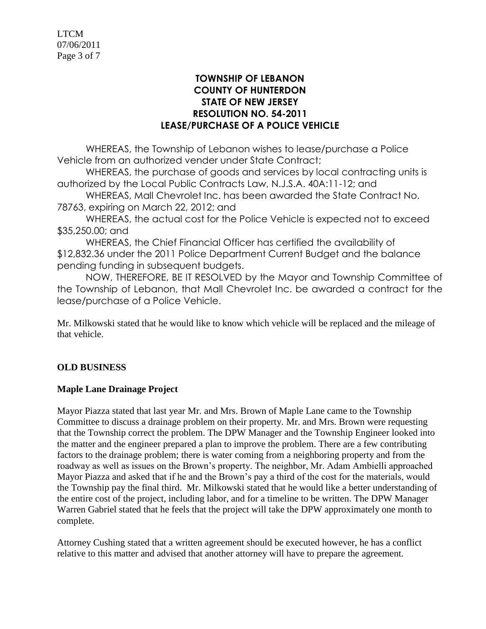LTCM 07/06/2011 Page 3 of 7

# **TOWNSHIP OF LEBANON COUNTY OF HUNTERDON STATE OF NEW JERSEY RESOLUTION NO. 54-2011 LEASE/PURCHASE OF A POLICE VEHICLE**

WHEREAS, the Township of Lebanon wishes to lease/purchase a Police Vehicle from an authorized vender under State Contract;

WHEREAS, the purchase of goods and services by local contracting units is authorized by the Local Public Contracts Law, N.J.S.A. 40A:11-12; and

WHEREAS, Mall Chevrolet Inc. has been awarded the State Contract No. 78763, expiring on March 22, 2012; and

WHEREAS, the actual cost for the Police Vehicle is expected not to exceed \$35,250.00; and

WHEREAS, the Chief Financial Officer has certified the availability of \$12,832.36 under the 2011 Police Department Current Budget and the balance pending funding in subsequent budgets.

NOW, THEREFORE, BE IT RESOLVED by the Mayor and Township Committee of the Township of Lebanon, that Mall Chevrolet Inc. be awarded a contract for the lease/purchase of a Police Vehicle.

Mr. Milkowski stated that he would like to know which vehicle will be replaced and the mileage of that vehicle.

# **OLD BUSINESS**

# **Maple Lane Drainage Project**

Mayor Piazza stated that last year Mr. and Mrs. Brown of Maple Lane came to the Township Committee to discuss a drainage problem on their property. Mr. and Mrs. Brown were requesting that the Township correct the problem. The DPW Manager and the Township Engineer looked into the matter and the engineer prepared a plan to improve the problem. There are a few contributing factors to the drainage problem; there is water coming from a neighboring property and from the roadway as well as issues on the Brown's property. The neighbor, Mr. Adam Ambielli approached Mayor Piazza and asked that if he and the Brown's pay a third of the cost for the materials, would the Township pay the final third. Mr. Milkowski stated that he would like a better understanding of the entire cost of the project, including labor, and for a timeline to be written. The DPW Manager Warren Gabriel stated that he feels that the project will take the DPW approximately one month to complete.

Attorney Cushing stated that a written agreement should be executed however, he has a conflict relative to this matter and advised that another attorney will have to prepare the agreement.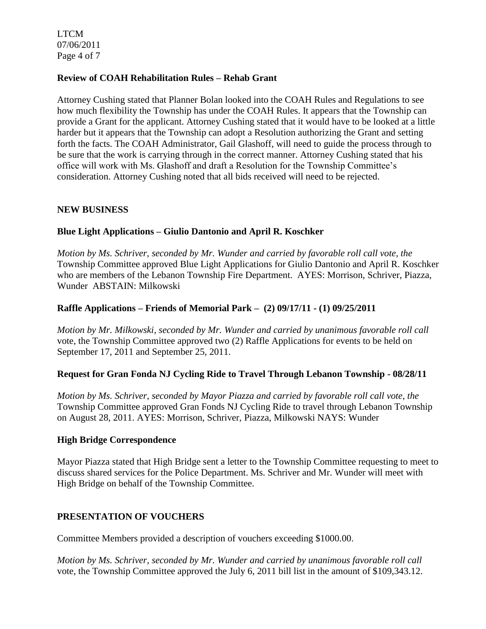LTCM 07/06/2011 Page 4 of 7

#### **Review of COAH Rehabilitation Rules – Rehab Grant**

Attorney Cushing stated that Planner Bolan looked into the COAH Rules and Regulations to see how much flexibility the Township has under the COAH Rules. It appears that the Township can provide a Grant for the applicant. Attorney Cushing stated that it would have to be looked at a little harder but it appears that the Township can adopt a Resolution authorizing the Grant and setting forth the facts. The COAH Administrator, Gail Glashoff, will need to guide the process through to be sure that the work is carrying through in the correct manner. Attorney Cushing stated that his office will work with Ms. Glashoff and draft a Resolution for the Township Committee's consideration. Attorney Cushing noted that all bids received will need to be rejected.

#### **NEW BUSINESS**

#### **Blue Light Applications – Giulio Dantonio and April R. Koschker**

*Motion by Ms. Schriver, seconded by Mr. Wunder and carried by favorable roll call vote, the* Township Committee approved Blue Light Applications for Giulio Dantonio and April R. Koschker who are members of the Lebanon Township Fire Department. AYES: Morrison, Schriver, Piazza, Wunder ABSTAIN: Milkowski

#### **Raffle Applications – Friends of Memorial Park – (2) 09/17/11 - (1) 09/25/2011**

*Motion by Mr. Milkowski, seconded by Mr. Wunder and carried by unanimous favorable roll call*  vote, the Township Committee approved two (2) Raffle Applications for events to be held on September 17, 2011 and September 25, 2011.

#### **Request for Gran Fonda NJ Cycling Ride to Travel Through Lebanon Township - 08/28/11**

*Motion by Ms. Schriver, seconded by Mayor Piazza and carried by favorable roll call vote, the* Township Committee approved Gran Fonds NJ Cycling Ride to travel through Lebanon Township on August 28, 2011. AYES: Morrison, Schriver, Piazza, Milkowski NAYS: Wunder

#### **High Bridge Correspondence**

Mayor Piazza stated that High Bridge sent a letter to the Township Committee requesting to meet to discuss shared services for the Police Department. Ms. Schriver and Mr. Wunder will meet with High Bridge on behalf of the Township Committee.

# **PRESENTATION OF VOUCHERS**

Committee Members provided a description of vouchers exceeding \$1000.00.

*Motion by Ms. Schriver, seconded by Mr. Wunder and carried by unanimous favorable roll call*  vote, the Township Committee approved the July 6, 2011 bill list in the amount of \$109,343.12.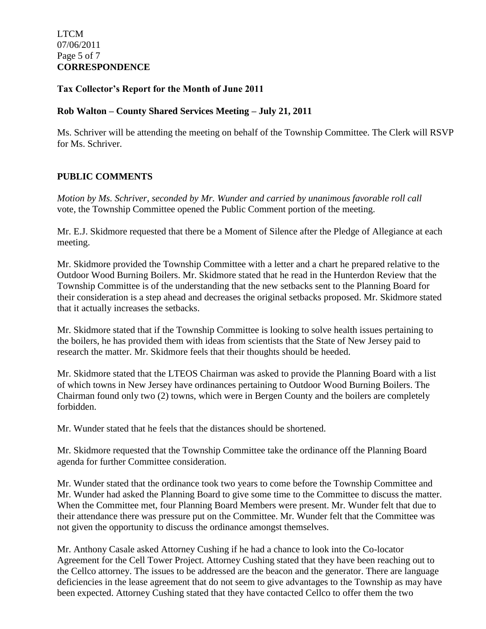#### **Tax Collector's Report for the Month of June 2011**

#### **Rob Walton – County Shared Services Meeting – July 21, 2011**

Ms. Schriver will be attending the meeting on behalf of the Township Committee. The Clerk will RSVP for Ms. Schriver.

# **PUBLIC COMMENTS**

*Motion by Ms. Schriver, seconded by Mr. Wunder and carried by unanimous favorable roll call*  vote, the Township Committee opened the Public Comment portion of the meeting.

Mr. E.J. Skidmore requested that there be a Moment of Silence after the Pledge of Allegiance at each meeting.

Mr. Skidmore provided the Township Committee with a letter and a chart he prepared relative to the Outdoor Wood Burning Boilers. Mr. Skidmore stated that he read in the Hunterdon Review that the Township Committee is of the understanding that the new setbacks sent to the Planning Board for their consideration is a step ahead and decreases the original setbacks proposed. Mr. Skidmore stated that it actually increases the setbacks.

Mr. Skidmore stated that if the Township Committee is looking to solve health issues pertaining to the boilers, he has provided them with ideas from scientists that the State of New Jersey paid to research the matter. Mr. Skidmore feels that their thoughts should be heeded.

Mr. Skidmore stated that the LTEOS Chairman was asked to provide the Planning Board with a list of which towns in New Jersey have ordinances pertaining to Outdoor Wood Burning Boilers. The Chairman found only two (2) towns, which were in Bergen County and the boilers are completely forbidden.

Mr. Wunder stated that he feels that the distances should be shortened.

Mr. Skidmore requested that the Township Committee take the ordinance off the Planning Board agenda for further Committee consideration.

Mr. Wunder stated that the ordinance took two years to come before the Township Committee and Mr. Wunder had asked the Planning Board to give some time to the Committee to discuss the matter. When the Committee met, four Planning Board Members were present. Mr. Wunder felt that due to their attendance there was pressure put on the Committee. Mr. Wunder felt that the Committee was not given the opportunity to discuss the ordinance amongst themselves.

Mr. Anthony Casale asked Attorney Cushing if he had a chance to look into the Co-locator Agreement for the Cell Tower Project. Attorney Cushing stated that they have been reaching out to the Cellco attorney. The issues to be addressed are the beacon and the generator. There are language deficiencies in the lease agreement that do not seem to give advantages to the Township as may have been expected. Attorney Cushing stated that they have contacted Cellco to offer them the two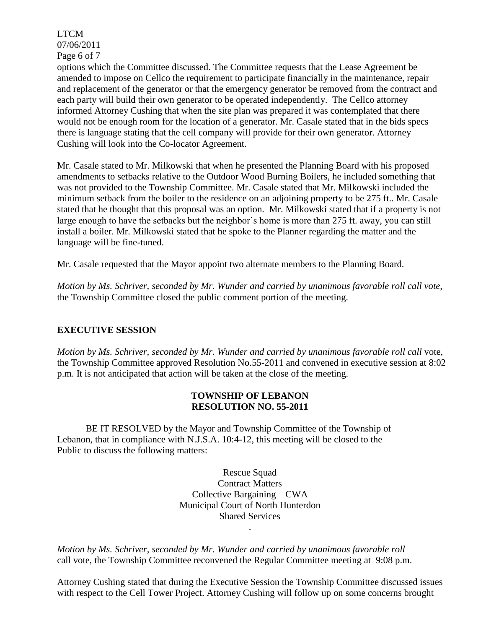LTCM 07/06/2011 Page 6 of 7

options which the Committee discussed. The Committee requests that the Lease Agreement be amended to impose on Cellco the requirement to participate financially in the maintenance, repair and replacement of the generator or that the emergency generator be removed from the contract and each party will build their own generator to be operated independently. The Cellco attorney informed Attorney Cushing that when the site plan was prepared it was contemplated that there would not be enough room for the location of a generator. Mr. Casale stated that in the bids specs there is language stating that the cell company will provide for their own generator. Attorney Cushing will look into the Co-locator Agreement.

Mr. Casale stated to Mr. Milkowski that when he presented the Planning Board with his proposed amendments to setbacks relative to the Outdoor Wood Burning Boilers, he included something that was not provided to the Township Committee. Mr. Casale stated that Mr. Milkowski included the minimum setback from the boiler to the residence on an adjoining property to be 275 ft.. Mr. Casale stated that he thought that this proposal was an option. Mr. Milkowski stated that if a property is not large enough to have the setbacks but the neighbor's home is more than 275 ft. away, you can still install a boiler. Mr. Milkowski stated that he spoke to the Planner regarding the matter and the language will be fine-tuned.

Mr. Casale requested that the Mayor appoint two alternate members to the Planning Board.

*Motion by Ms. Schriver, seconded by Mr. Wunder and carried by unanimous favorable roll call vote,* the Township Committee closed the public comment portion of the meeting.

# **EXECUTIVE SESSION**

*Motion by Ms. Schriver, seconded by Mr. Wunder and carried by unanimous favorable roll call* vote, the Township Committee approved Resolution No.55-2011 and convened in executive session at 8:02 p.m. It is not anticipated that action will be taken at the close of the meeting.

# **TOWNSHIP OF LEBANON RESOLUTION NO. 55-2011**

BE IT RESOLVED by the Mayor and Township Committee of the Township of Lebanon, that in compliance with N.J.S.A. 10:4-12, this meeting will be closed to the Public to discuss the following matters:

> Rescue Squad Contract Matters Collective Bargaining – CWA Municipal Court of North Hunterdon Shared Services

> > .

*Motion by Ms. Schriver, seconded by Mr. Wunder and carried by unanimous favorable roll*  call vote, the Township Committee reconvened the Regular Committee meeting at 9:08 p.m.

Attorney Cushing stated that during the Executive Session the Township Committee discussed issues with respect to the Cell Tower Project. Attorney Cushing will follow up on some concerns brought